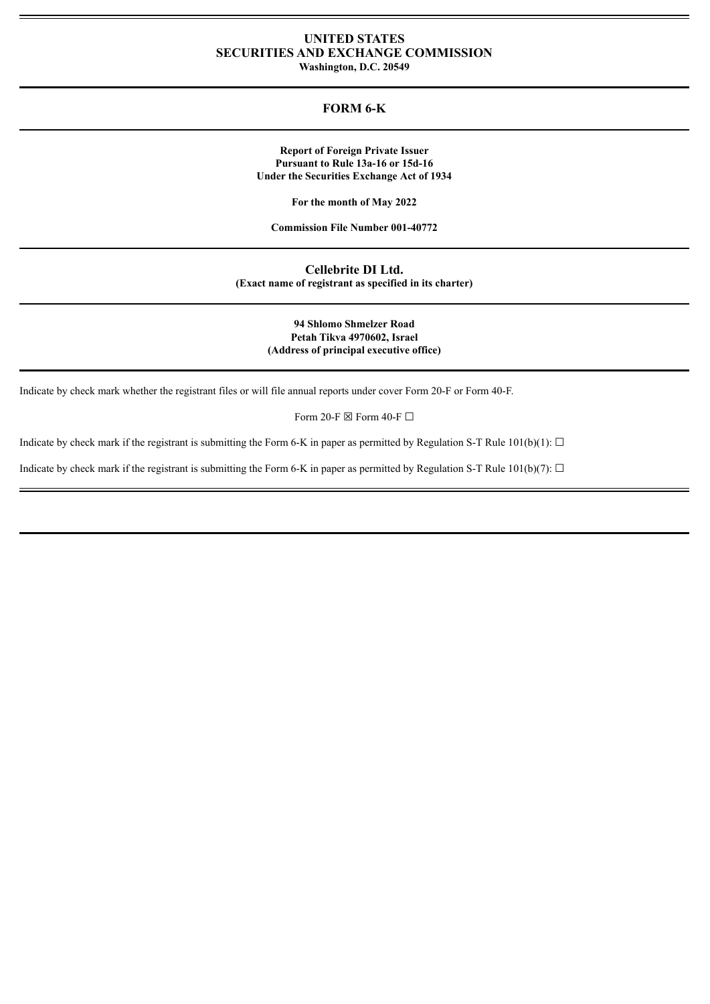# **UNITED STATES SECURITIES AND EXCHANGE COMMISSION**

**Washington, D.C. 20549**

# **FORM 6-K**

**Report of Foreign Private Issuer Pursuant to Rule 13a-16 or 15d-16 Under the Securities Exchange Act of 1934**

**For the month of May 2022**

**Commission File Number 001-40772**

**Cellebrite DI Ltd. (Exact name of registrant as specified in its charter)**

> **94 Shlomo Shmelzer Road Petah Tikva 4970602, Israel (Address of principal executive office)**

Indicate by check mark whether the registrant files or will file annual reports under cover Form 20-F or Form 40-F.

Form 20-F  $\boxtimes$  Form 40-F  $\Box$ 

Indicate by check mark if the registrant is submitting the Form 6-K in paper as permitted by Regulation S-T Rule  $101(b)(1)$ :  $\Box$ 

Indicate by check mark if the registrant is submitting the Form 6-K in paper as permitted by Regulation S-T Rule 101(b)(7):  $\Box$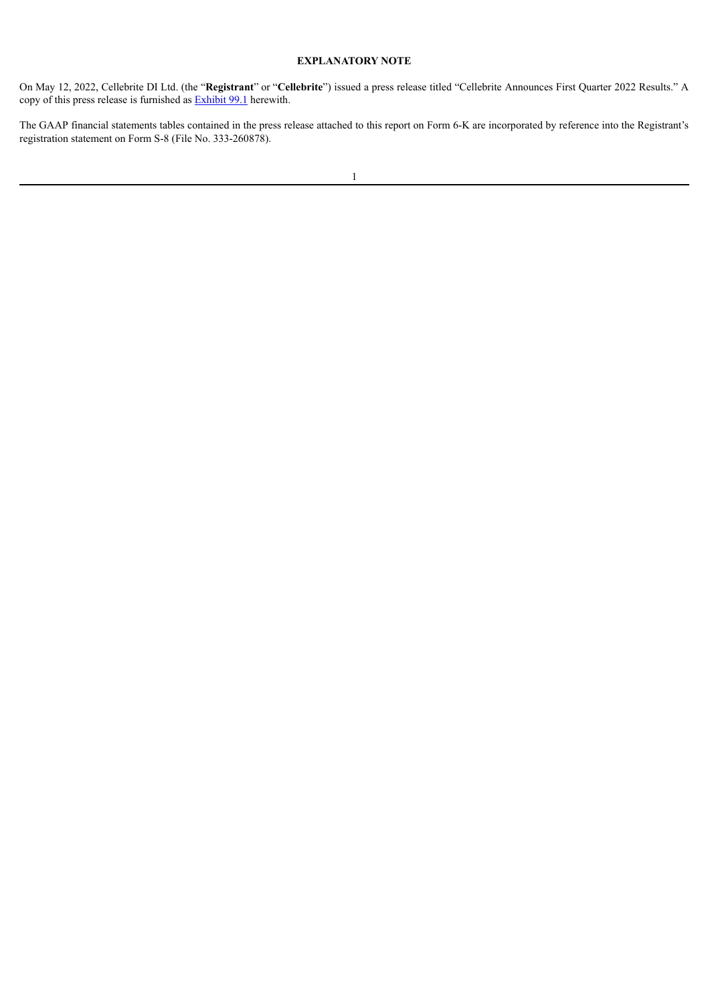# **EXPLANATORY NOTE**

On May 12, 2022, Cellebrite DI Ltd. (the "**Registrant**" or "**Cellebrite**") issued a press release titled "Cellebrite Announces First Quarter 2022 Results." A copy of this press release is furnished as **[Exhibit](#page-3-0) 99.1** herewith.

The GAAP financial statements tables contained in the press release attached to this report on Form 6-K are incorporated by reference into the Registrant's registration statement on Form S-8 (File No. 333-260878).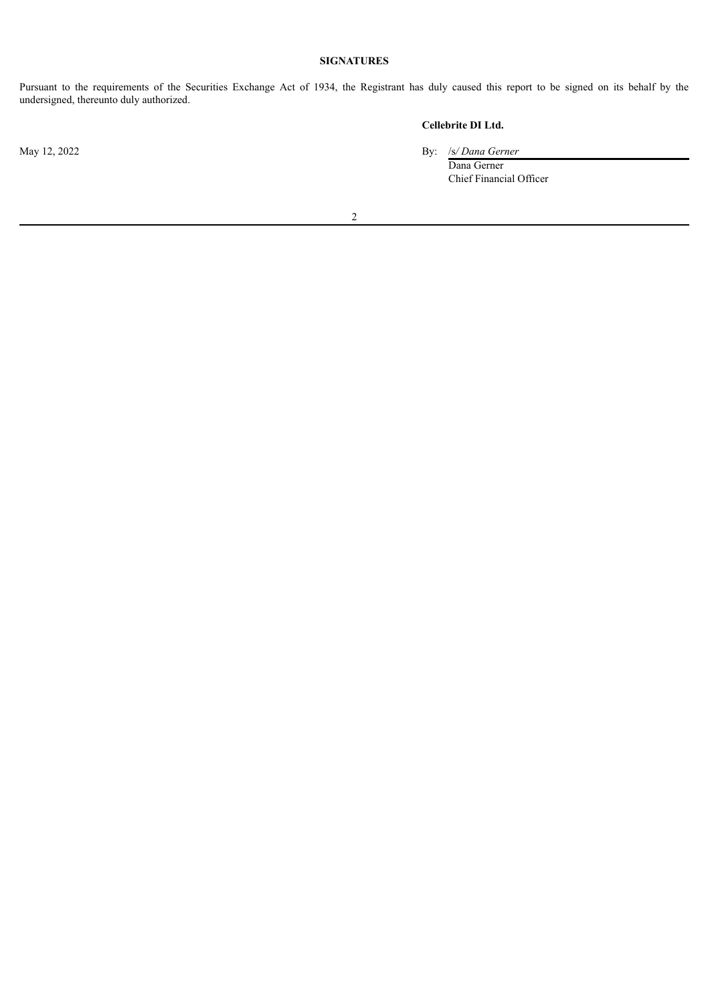# **SIGNATURES**

Pursuant to the requirements of the Securities Exchange Act of 1934, the Registrant has duly caused this report to be signed on its behalf by the undersigned, thereunto duly authorized.

# **Cellebrite DI Ltd.**

May 12, 2022 By: /s*/ Dana Gerner*

Dana Gerner Chief Financial Officer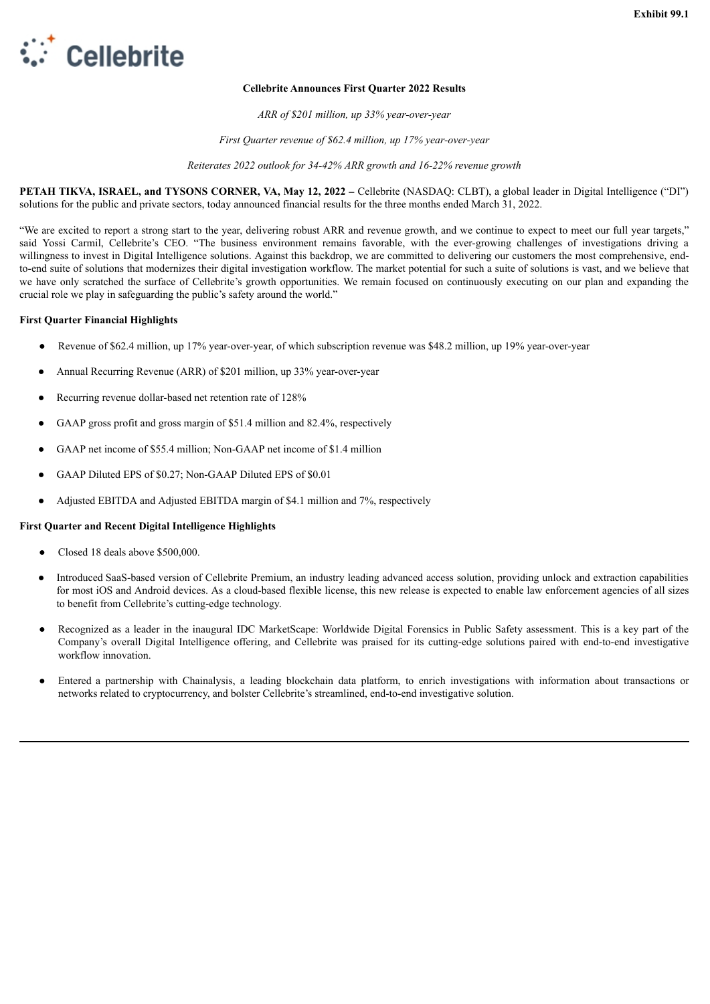<span id="page-3-0"></span>

### **Cellebrite Announces First Quarter 2022 Results**

*ARR of \$201 million, up 33% year-over-year*

*First Quarter revenue of \$62.4 million, up 17% year-over-year*

*Reiterates 2022 outlook for 34-42% ARR growth and 16-22% revenue growth*

**PETAH TIKVA, ISRAEL, and TYSONS CORNER, VA, May 12, 2022 –** Cellebrite (NASDAQ: CLBT), a global leader in Digital Intelligence ("DI") solutions for the public and private sectors, today announced financial results for the three months ended March 31, 2022.

"We are excited to report a strong start to the year, delivering robust ARR and revenue growth, and we continue to expect to meet our full year targets," said Yossi Carmil, Cellebrite's CEO. "The business environment remains favorable, with the ever-growing challenges of investigations driving a willingness to invest in Digital Intelligence solutions. Against this backdrop, we are committed to delivering our customers the most comprehensive, endto-end suite of solutions that modernizes their digital investigation workflow. The market potential for such a suite of solutions is vast, and we believe that we have only scratched the surface of Cellebrite's growth opportunities. We remain focused on continuously executing on our plan and expanding the crucial role we play in safeguarding the public's safety around the world."

#### **First Quarter Financial Highlights**

- Revenue of \$62.4 million, up 17% year-over-year, of which subscription revenue was \$48.2 million, up 19% year-over-year
- Annual Recurring Revenue (ARR) of \$201 million, up 33% year-over-year
- Recurring revenue dollar-based net retention rate of 128%
- GAAP gross profit and gross margin of \$51.4 million and 82.4%, respectively
- GAAP net income of \$55.4 million; Non-GAAP net income of \$1.4 million
- GAAP Diluted EPS of \$0.27; Non-GAAP Diluted EPS of \$0.01
- Adjusted EBITDA and Adjusted EBITDA margin of \$4.1 million and 7%, respectively

#### **First Quarter and Recent Digital Intelligence Highlights**

- Closed 18 deals above \$500,000.
- Introduced SaaS-based version of Cellebrite Premium, an industry leading advanced access solution, providing unlock and extraction capabilities for most iOS and Android devices. As a cloud-based flexible license, this new release is expected to enable law enforcement agencies of all sizes to benefit from Cellebrite's cutting-edge technology.
- Recognized as a leader in the inaugural IDC MarketScape: Worldwide Digital Forensics in Public Safety assessment. This is a key part of the Company's overall Digital Intelligence offering, and Cellebrite was praised for its cutting-edge solutions paired with end-to-end investigative workflow innovation.
- Entered a partnership with Chainalysis, a leading blockchain data platform, to enrich investigations with information about transactions or networks related to cryptocurrency, and bolster Cellebrite's streamlined, end-to-end investigative solution.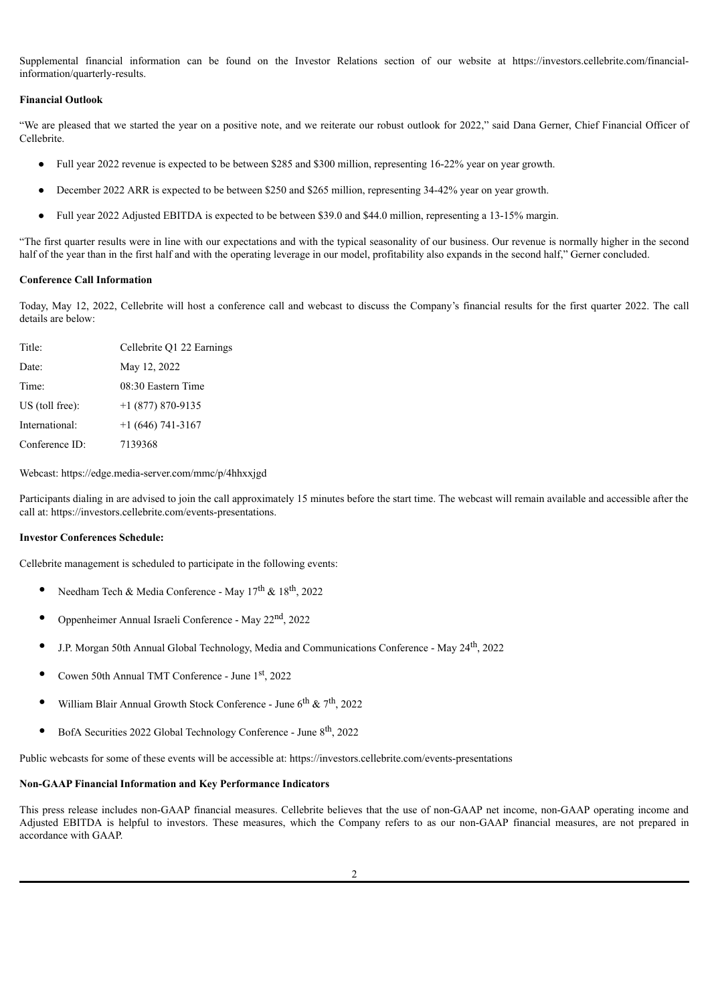Supplemental financial information can be found on the Investor Relations section of our website at https://investors.cellebrite.com/financialinformation/quarterly-results.

#### **Financial Outlook**

"We are pleased that we started the year on a positive note, and we reiterate our robust outlook for 2022," said Dana Gerner, Chief Financial Officer of Cellebrite.

- Full year 2022 revenue is expected to be between \$285 and \$300 million, representing 16-22% year on year growth.
- December 2022 ARR is expected to be between \$250 and \$265 million, representing 34-42% year on year growth.
- Full year 2022 Adjusted EBITDA is expected to be between \$39.0 and \$44.0 million, representing a 13-15% margin.

"The first quarter results were in line with our expectations and with the typical seasonality of our business. Our revenue is normally higher in the second half of the year than in the first half and with the operating leverage in our model, profitability also expands in the second half," Gerner concluded.

#### **Conference Call Information**

Today, May 12, 2022, Cellebrite will host a conference call and webcast to discuss the Company's financial results for the first quarter 2022. The call details are below:

| Title:          | Cellebrite Q1 22 Earnings |
|-----------------|---------------------------|
| Date:           | May 12, 2022              |
| Time:           | 08:30 Eastern Time        |
| US (toll free): | $+1$ (877) 870-9135       |
| International:  | $+1(646) 741-3167$        |
| Conference ID:  | 7139368                   |

Webcast: https://edge.media-server.com/mmc/p/4hhxxjgd

Participants dialing in are advised to join the call approximately 15 minutes before the start time. The webcast will remain available and accessible after the call at: https://investors.cellebrite.com/events-presentations.

#### **Investor Conferences Schedule:**

Cellebrite management is scheduled to participate in the following events:

- Needham Tech & Media Conference May  $17^{\text{th}}$  &  $18^{\text{th}}$ , 2022
- Oppenheimer Annual Israeli Conference May 22<sup>nd</sup>, 2022
- J.P. Morgan 50th Annual Global Technology, Media and Communications Conference May 24<sup>th</sup>, 2022
- Cowen 50th Annual TMT Conference June 1<sup>st</sup>, 2022
- William Blair Annual Growth Stock Conference June  $6^{\text{th}}$  &  $7^{\text{th}}$ , 2022
- BofA Securities 2022 Global Technology Conference June 8<sup>th</sup>, 2022

Public webcasts for some of these events will be accessible at: https://investors.cellebrite.com/events-presentations

#### **Non-GAAP Financial Information and Key Performance Indicators**

This press release includes non-GAAP financial measures. Cellebrite believes that the use of non-GAAP net income, non-GAAP operating income and Adjusted EBITDA is helpful to investors. These measures, which the Company refers to as our non-GAAP financial measures, are not prepared in accordance with GAAP.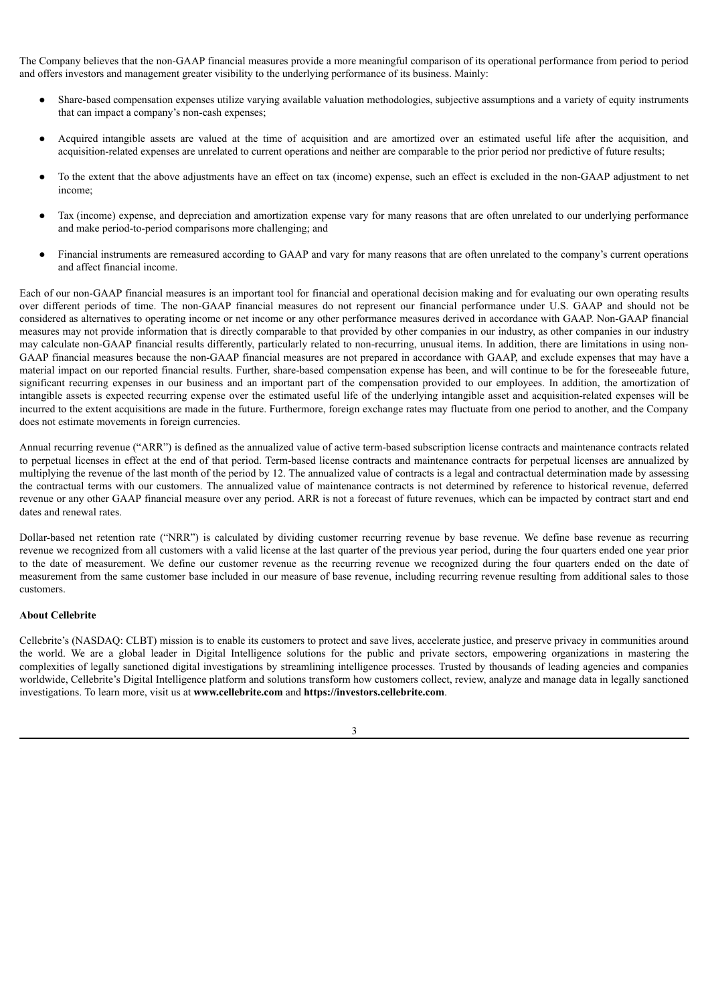The Company believes that the non-GAAP financial measures provide a more meaningful comparison of its operational performance from period to period and offers investors and management greater visibility to the underlying performance of its business. Mainly:

- Share-based compensation expenses utilize varying available valuation methodologies, subjective assumptions and a variety of equity instruments that can impact a company's non-cash expenses;
- Acquired intangible assets are valued at the time of acquisition and are amortized over an estimated useful life after the acquisition, and acquisition-related expenses are unrelated to current operations and neither are comparable to the prior period nor predictive of future results;
- To the extent that the above adjustments have an effect on tax (income) expense, such an effect is excluded in the non-GAAP adjustment to net income;
- Tax (income) expense, and depreciation and amortization expense vary for many reasons that are often unrelated to our underlying performance and make period-to-period comparisons more challenging; and
- Financial instruments are remeasured according to GAAP and vary for many reasons that are often unrelated to the company's current operations and affect financial income.

Each of our non-GAAP financial measures is an important tool for financial and operational decision making and for evaluating our own operating results over different periods of time. The non-GAAP financial measures do not represent our financial performance under U.S. GAAP and should not be considered as alternatives to operating income or net income or any other performance measures derived in accordance with GAAP. Non-GAAP financial measures may not provide information that is directly comparable to that provided by other companies in our industry, as other companies in our industry may calculate non-GAAP financial results differently, particularly related to non-recurring, unusual items. In addition, there are limitations in using non-GAAP financial measures because the non-GAAP financial measures are not prepared in accordance with GAAP, and exclude expenses that may have a material impact on our reported financial results. Further, share-based compensation expense has been, and will continue to be for the foreseeable future, significant recurring expenses in our business and an important part of the compensation provided to our employees. In addition, the amortization of intangible assets is expected recurring expense over the estimated useful life of the underlying intangible asset and acquisition-related expenses will be incurred to the extent acquisitions are made in the future. Furthermore, foreign exchange rates may fluctuate from one period to another, and the Company does not estimate movements in foreign currencies.

Annual recurring revenue ("ARR") is defined as the annualized value of active term-based subscription license contracts and maintenance contracts related to perpetual licenses in effect at the end of that period. Term-based license contracts and maintenance contracts for perpetual licenses are annualized by multiplying the revenue of the last month of the period by 12. The annualized value of contracts is a legal and contractual determination made by assessing the contractual terms with our customers. The annualized value of maintenance contracts is not determined by reference to historical revenue, deferred revenue or any other GAAP financial measure over any period. ARR is not a forecast of future revenues, which can be impacted by contract start and end dates and renewal rates.

Dollar-based net retention rate ("NRR") is calculated by dividing customer recurring revenue by base revenue. We define base revenue as recurring revenue we recognized from all customers with a valid license at the last quarter of the previous year period, during the four quarters ended one year prior to the date of measurement. We define our customer revenue as the recurring revenue we recognized during the four quarters ended on the date of measurement from the same customer base included in our measure of base revenue, including recurring revenue resulting from additional sales to those customers.

#### **About Cellebrite**

Cellebrite's (NASDAQ: CLBT) mission is to enable its customers to protect and save lives, accelerate justice, and preserve privacy in communities around the world. We are a global leader in Digital Intelligence solutions for the public and private sectors, empowering organizations in mastering the complexities of legally sanctioned digital investigations by streamlining intelligence processes. Trusted by thousands of leading agencies and companies worldwide, Cellebrite's Digital Intelligence platform and solutions transform how customers collect, review, analyze and manage data in legally sanctioned investigations. To learn more, visit us at **www.cellebrite.com** and **https://investors.cellebrite.com**.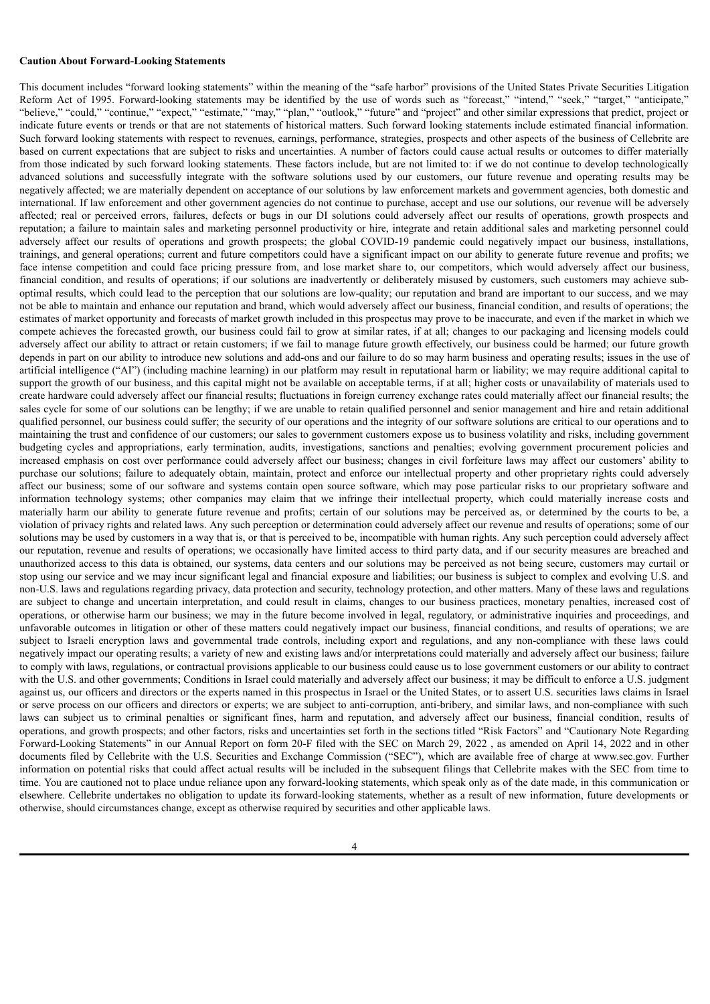#### **Caution About Forward-Looking Statements**

This document includes "forward looking statements" within the meaning of the "safe harbor" provisions of the United States Private Securities Litigation Reform Act of 1995. Forward-looking statements may be identified by the use of words such as "forecast," "intend," "seek," "target," "anticipate," "believe," "could," "continue," "expect," "estimate," "may," "plan," "outlook," "future" and "project" and other similar expressions that predict, project or indicate future events or trends or that are not statements of historical matters. Such forward looking statements include estimated financial information. Such forward looking statements with respect to revenues, earnings, performance, strategies, prospects and other aspects of the business of Cellebrite are based on current expectations that are subject to risks and uncertainties. A number of factors could cause actual results or outcomes to differ materially from those indicated by such forward looking statements. These factors include, but are not limited to: if we do not continue to develop technologically advanced solutions and successfully integrate with the software solutions used by our customers, our future revenue and operating results may be negatively affected; we are materially dependent on acceptance of our solutions by law enforcement markets and government agencies, both domestic and international. If law enforcement and other government agencies do not continue to purchase, accept and use our solutions, our revenue will be adversely affected; real or perceived errors, failures, defects or bugs in our DI solutions could adversely affect our results of operations, growth prospects and reputation; a failure to maintain sales and marketing personnel productivity or hire, integrate and retain additional sales and marketing personnel could adversely affect our results of operations and growth prospects; the global COVID-19 pandemic could negatively impact our business, installations, trainings, and general operations; current and future competitors could have a significant impact on our ability to generate future revenue and profits; we face intense competition and could face pricing pressure from, and lose market share to, our competitors, which would adversely affect our business, financial condition, and results of operations; if our solutions are inadvertently or deliberately misused by customers, such customers may achieve suboptimal results, which could lead to the perception that our solutions are low-quality; our reputation and brand are important to our success, and we may not be able to maintain and enhance our reputation and brand, which would adversely affect our business, financial condition, and results of operations; the estimates of market opportunity and forecasts of market growth included in this prospectus may prove to be inaccurate, and even if the market in which we compete achieves the forecasted growth, our business could fail to grow at similar rates, if at all; changes to our packaging and licensing models could adversely affect our ability to attract or retain customers; if we fail to manage future growth effectively, our business could be harmed; our future growth depends in part on our ability to introduce new solutions and add-ons and our failure to do so may harm business and operating results; issues in the use of artificial intelligence ("AI") (including machine learning) in our platform may result in reputational harm or liability; we may require additional capital to support the growth of our business, and this capital might not be available on acceptable terms, if at all; higher costs or unavailability of materials used to create hardware could adversely affect our financial results; fluctuations in foreign currency exchange rates could materially affect our financial results; the sales cycle for some of our solutions can be lengthy; if we are unable to retain qualified personnel and senior management and hire and retain additional qualified personnel, our business could suffer; the security of our operations and the integrity of our software solutions are critical to our operations and to maintaining the trust and confidence of our customers; our sales to government customers expose us to business volatility and risks, including government budgeting cycles and appropriations, early termination, audits, investigations, sanctions and penalties; evolving government procurement policies and increased emphasis on cost over performance could adversely affect our business; changes in civil forfeiture laws may affect our customers' ability to purchase our solutions; failure to adequately obtain, maintain, protect and enforce our intellectual property and other proprietary rights could adversely affect our business; some of our software and systems contain open source software, which may pose particular risks to our proprietary software and information technology systems; other companies may claim that we infringe their intellectual property, which could materially increase costs and materially harm our ability to generate future revenue and profits; certain of our solutions may be perceived as, or determined by the courts to be, a violation of privacy rights and related laws. Any such perception or determination could adversely affect our revenue and results of operations; some of our solutions may be used by customers in a way that is, or that is perceived to be, incompatible with human rights. Any such perception could adversely affect our reputation, revenue and results of operations; we occasionally have limited access to third party data, and if our security measures are breached and unauthorized access to this data is obtained, our systems, data centers and our solutions may be perceived as not being secure, customers may curtail or stop using our service and we may incur significant legal and financial exposure and liabilities; our business is subject to complex and evolving U.S. and non-U.S. laws and regulations regarding privacy, data protection and security, technology protection, and other matters. Many of these laws and regulations are subject to change and uncertain interpretation, and could result in claims, changes to our business practices, monetary penalties, increased cost of operations, or otherwise harm our business; we may in the future become involved in legal, regulatory, or administrative inquiries and proceedings, and unfavorable outcomes in litigation or other of these matters could negatively impact our business, financial conditions, and results of operations; we are subject to Israeli encryption laws and governmental trade controls, including export and regulations, and any non-compliance with these laws could negatively impact our operating results; a variety of new and existing laws and/or interpretations could materially and adversely affect our business; failure to comply with laws, regulations, or contractual provisions applicable to our business could cause us to lose government customers or our ability to contract with the U.S. and other governments; Conditions in Israel could materially and adversely affect our business; it may be difficult to enforce a U.S. judgment against us, our officers and directors or the experts named in this prospectus in Israel or the United States, or to assert U.S. securities laws claims in Israel or serve process on our officers and directors or experts; we are subject to anti-corruption, anti-bribery, and similar laws, and non-compliance with such laws can subject us to criminal penalties or significant fines, harm and reputation, and adversely affect our business, financial condition, results of operations, and growth prospects; and other factors, risks and uncertainties set forth in the sections titled "Risk Factors" and "Cautionary Note Regarding Forward-Looking Statements" in our Annual Report on form 20-F filed with the SEC on March 29, 2022 , as amended on April 14, 2022 and in other documents filed by Cellebrite with the U.S. Securities and Exchange Commission ("SEC"), which are available free of charge at www.sec.gov. Further information on potential risks that could affect actual results will be included in the subsequent filings that Cellebrite makes with the SEC from time to time. You are cautioned not to place undue reliance upon any forward-looking statements, which speak only as of the date made, in this communication or elsewhere. Cellebrite undertakes no obligation to update its forward-looking statements, whether as a result of new information, future developments or otherwise, should circumstances change, except as otherwise required by securities and other applicable laws.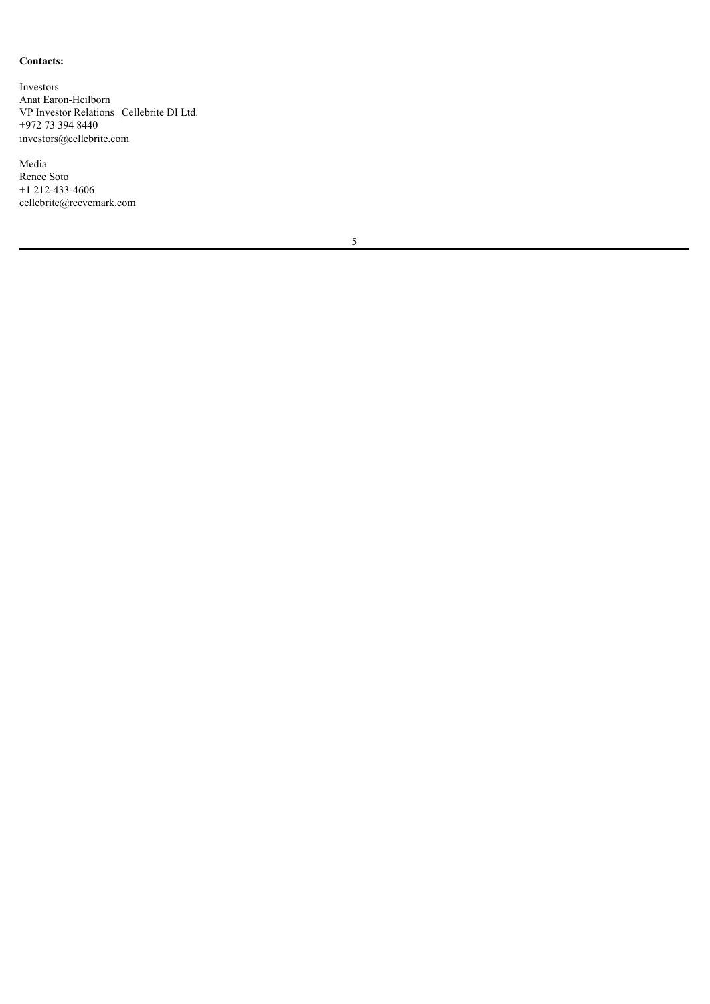# **Contacts:**

Investors Anat Earon-Heilborn VP Investor Relations | Cellebrite DI Ltd. +972 73 394 8440 investors@cellebrite.com

Media Renee Soto +1 212-433-4606 cellebrite@reevemark.com

5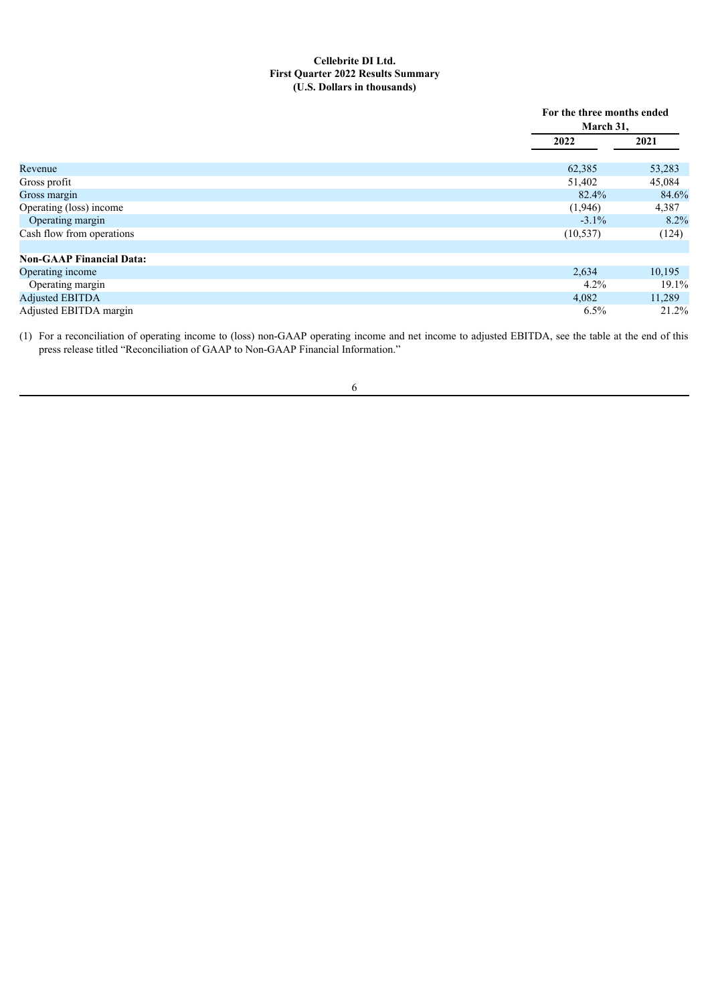#### **Cellebrite DI Ltd. First Quarter 2022 Results Summary (U.S. Dollars in thousands)**

|                                 | March 31, | For the three months ended |  |  |
|---------------------------------|-----------|----------------------------|--|--|
|                                 | 2022      | 2021                       |  |  |
| Revenue                         | 62,385    | 53,283                     |  |  |
| Gross profit                    | 51,402    | 45,084                     |  |  |
| Gross margin                    | 82.4%     | 84.6%                      |  |  |
| Operating (loss) income         | (1,946)   | 4,387                      |  |  |
| Operating margin                | $-3.1\%$  | 8.2%                       |  |  |
| Cash flow from operations       | (10, 537) | (124)                      |  |  |
| <b>Non-GAAP Financial Data:</b> |           |                            |  |  |
| Operating income                | 2,634     | 10,195                     |  |  |
| Operating margin                | 4.2%      | 19.1%                      |  |  |
| <b>Adjusted EBITDA</b>          | 4,082     | 11,289                     |  |  |
| Adjusted EBITDA margin          | 6.5%      | 21.2%                      |  |  |

(1) For a reconciliation of operating income to (loss) non-GAAP operating income and net income to adjusted EBITDA, see the table at the end of this press release titled "Reconciliation of GAAP to Non-GAAP Financial Information."

6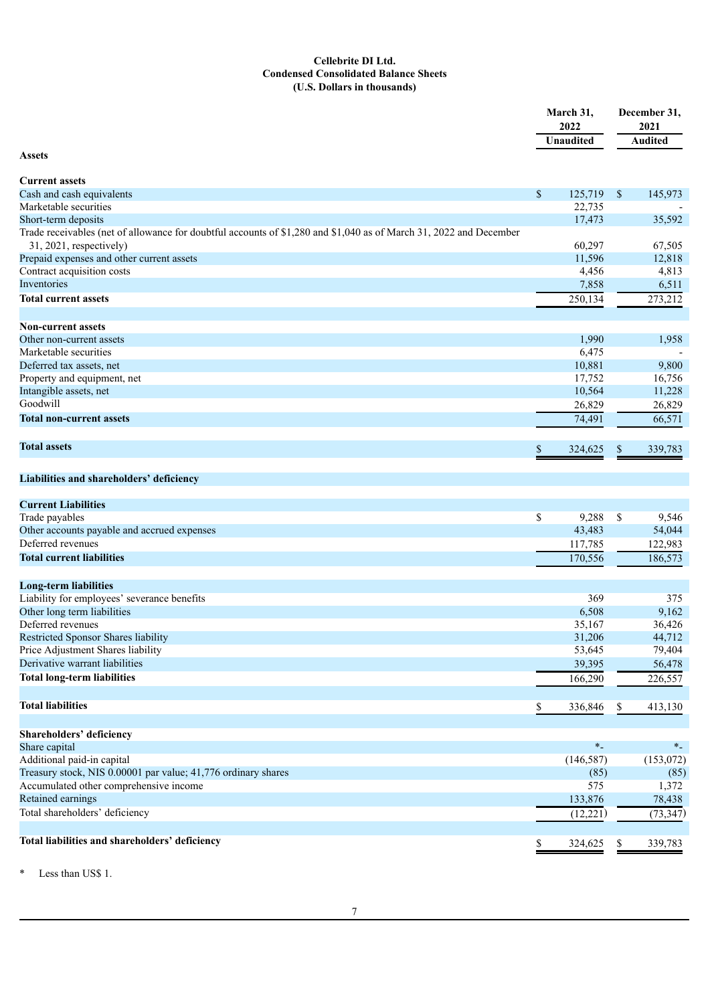### **Cellebrite DI Ltd. Condensed Consolidated Balance Sheets (U.S. Dollars in thousands)**

|                                                                                                                    |    | March 31,<br>2022 |               | December 31,<br>2021 |  |
|--------------------------------------------------------------------------------------------------------------------|----|-------------------|---------------|----------------------|--|
|                                                                                                                    |    | <b>Unaudited</b>  |               | <b>Audited</b>       |  |
| <b>Assets</b>                                                                                                      |    |                   |               |                      |  |
|                                                                                                                    |    |                   |               |                      |  |
| <b>Current assets</b>                                                                                              |    |                   |               |                      |  |
| Cash and cash equivalents                                                                                          | \$ | $125,719$ \$      |               | 145,973              |  |
| Marketable securities<br>Short-term deposits                                                                       |    | 22,735<br>17,473  |               | 35,592               |  |
| Trade receivables (net of allowance for doubtful accounts of \$1,280 and \$1,040 as of March 31, 2022 and December |    |                   |               |                      |  |
| 31, 2021, respectively)                                                                                            |    | 60,297            |               | 67,505               |  |
| Prepaid expenses and other current assets                                                                          |    | 11,596            |               | 12,818               |  |
| Contract acquisition costs                                                                                         |    | 4,456             |               | 4,813                |  |
| Inventories                                                                                                        |    | 7,858             |               | 6,511                |  |
| <b>Total current assets</b>                                                                                        |    | 250,134           |               | 273,212              |  |
|                                                                                                                    |    |                   |               |                      |  |
| <b>Non-current assets</b>                                                                                          |    |                   |               |                      |  |
| Other non-current assets                                                                                           |    | 1,990             |               | 1,958                |  |
| Marketable securities                                                                                              |    | 6,475             |               |                      |  |
| Deferred tax assets, net                                                                                           |    | 10,881            |               | 9,800                |  |
| Property and equipment, net                                                                                        |    | 17,752            |               | 16,756               |  |
| Intangible assets, net                                                                                             |    | 10,564            |               | 11,228               |  |
| Goodwill                                                                                                           |    | 26,829            |               | 26,829               |  |
| <b>Total non-current assets</b>                                                                                    |    | 74,491            |               | 66,571               |  |
| <b>Total assets</b>                                                                                                |    |                   |               |                      |  |
|                                                                                                                    | S  | 324,625           | \$            | 339,783              |  |
|                                                                                                                    |    |                   |               |                      |  |
| Liabilities and shareholders' deficiency                                                                           |    |                   |               |                      |  |
| <b>Current Liabilities</b>                                                                                         |    |                   |               |                      |  |
| Trade payables                                                                                                     | \$ | 9,288             | $\mathcal{S}$ | 9,546                |  |
| Other accounts payable and accrued expenses                                                                        |    | 43,483            |               | 54,044               |  |
| Deferred revenues                                                                                                  |    | 117,785           |               | 122,983              |  |
| <b>Total current liabilities</b>                                                                                   |    | 170,556           |               | 186,573              |  |
|                                                                                                                    |    |                   |               |                      |  |
| <b>Long-term liabilities</b>                                                                                       |    |                   |               |                      |  |
| Liability for employees' severance benefits                                                                        |    | 369               |               | 375                  |  |
| Other long term liabilities                                                                                        |    | 6,508             |               | 9,162                |  |
| Deferred revenues                                                                                                  |    | 35,167            |               | 36,426               |  |
| Restricted Sponsor Shares liability                                                                                |    | 31,206            |               | 44,712               |  |
| Price Adjustment Shares liability                                                                                  |    | 53,645            |               | 79,404               |  |
| Derivative warrant liabilities                                                                                     |    | 39,395            |               | 56,478               |  |
| <b>Total long-term liabilities</b>                                                                                 |    | 166,290           |               | 226,557              |  |
|                                                                                                                    |    |                   |               |                      |  |
| <b>Total liabilities</b>                                                                                           | \$ | 336,846           | \$            | 413,130              |  |
|                                                                                                                    |    |                   |               |                      |  |
| Shareholders' deficiency                                                                                           |    | $\ast_-$          |               |                      |  |
| Share capital<br>Additional paid-in capital                                                                        |    | (146, 587)        |               | $*$<br>(153,072)     |  |
|                                                                                                                    |    |                   |               |                      |  |
| Treasury stock, NIS 0.00001 par value; 41,776 ordinary shares<br>Accumulated other comprehensive income            |    | (85)<br>575       |               | (85)<br>1,372        |  |
| Retained earnings                                                                                                  |    | 133,876           |               |                      |  |
|                                                                                                                    |    |                   |               | 78,438               |  |
| Total shareholders' deficiency                                                                                     |    | (12, 221)         |               | (73, 347)            |  |
| Total liabilities and shareholders' deficiency                                                                     |    | 324,625           | \$            | 339,783              |  |
|                                                                                                                    |    |                   |               |                      |  |

\* Less than US\$ 1.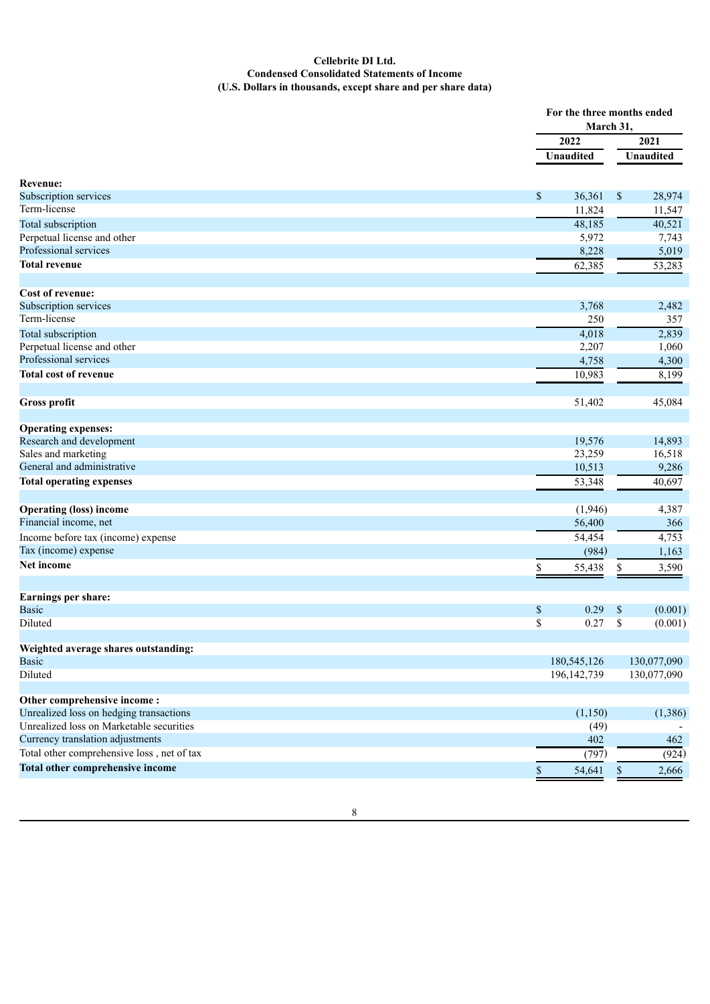### **Cellebrite DI Ltd. Condensed Consolidated Statements of Income (U.S. Dollars in thousands, except share and per share data)**

|                                            |                       | For the three months ended<br>March 31, |
|--------------------------------------------|-----------------------|-----------------------------------------|
|                                            | 2022                  | 2021                                    |
|                                            | Unaudited             | Unaudited                               |
| <b>Revenue:</b>                            |                       |                                         |
| Subscription services                      | 36,361<br>\$          | \$<br>28,974                            |
| Term-license                               | 11,824                | 11,547                                  |
| Total subscription                         | 48,185                | 40,521                                  |
| Perpetual license and other                | 5,972                 | 7,743                                   |
| Professional services                      | 8,228                 | 5,019                                   |
| <b>Total revenue</b>                       | 62,385                | 53,283                                  |
| <b>Cost of revenue:</b>                    |                       |                                         |
| Subscription services                      | 3,768                 | 2,482                                   |
| Term-license                               | 250                   | 357                                     |
| Total subscription                         | 4,018                 | 2,839                                   |
| Perpetual license and other                | 2,207                 | 1,060                                   |
| Professional services                      | 4,758                 | 4,300                                   |
| <b>Total cost of revenue</b>               |                       |                                         |
|                                            | 10,983                | 8,199                                   |
| <b>Gross profit</b>                        | 51,402                | 45,084                                  |
| <b>Operating expenses:</b>                 |                       |                                         |
| Research and development                   | 19,576                | 14,893                                  |
| Sales and marketing                        | 23,259                | 16,518                                  |
| General and administrative                 | 10,513                | 9,286                                   |
| <b>Total operating expenses</b>            | 53,348                | 40,697                                  |
| <b>Operating (loss) income</b>             | (1,946)               | 4,387                                   |
| Financial income, net                      | 56,400                | 366                                     |
| Income before tax (income) expense         | 54,454                | 4,753                                   |
| Tax (income) expense                       | (984)                 | 1,163                                   |
| Net income                                 | \$<br>55,438          | 3,590<br>\$                             |
|                                            |                       |                                         |
| Earnings per share:                        |                       |                                         |
| <b>Basic</b>                               | 0.29<br>\$            | $\$$<br>(0.001)                         |
| Diluted                                    | \$<br>0.27            | \$<br>(0.001)                           |
| Weighted average shares outstanding:       |                       |                                         |
| <b>Basic</b>                               | 180,545,126           | 130,077,090                             |
| Diluted                                    | 196, 142, 739         | 130,077,090                             |
| Other comprehensive income:                |                       |                                         |
| Unrealized loss on hedging transactions    | (1, 150)              | (1,386)                                 |
| Unrealized loss on Marketable securities   | (49)                  |                                         |
| Currency translation adjustments           | 402                   | 462                                     |
| Total other comprehensive loss, net of tax | (797)                 | (924)                                   |
| Total other comprehensive income           | $\mathbb S$<br>54,641 | 2,666<br>\$                             |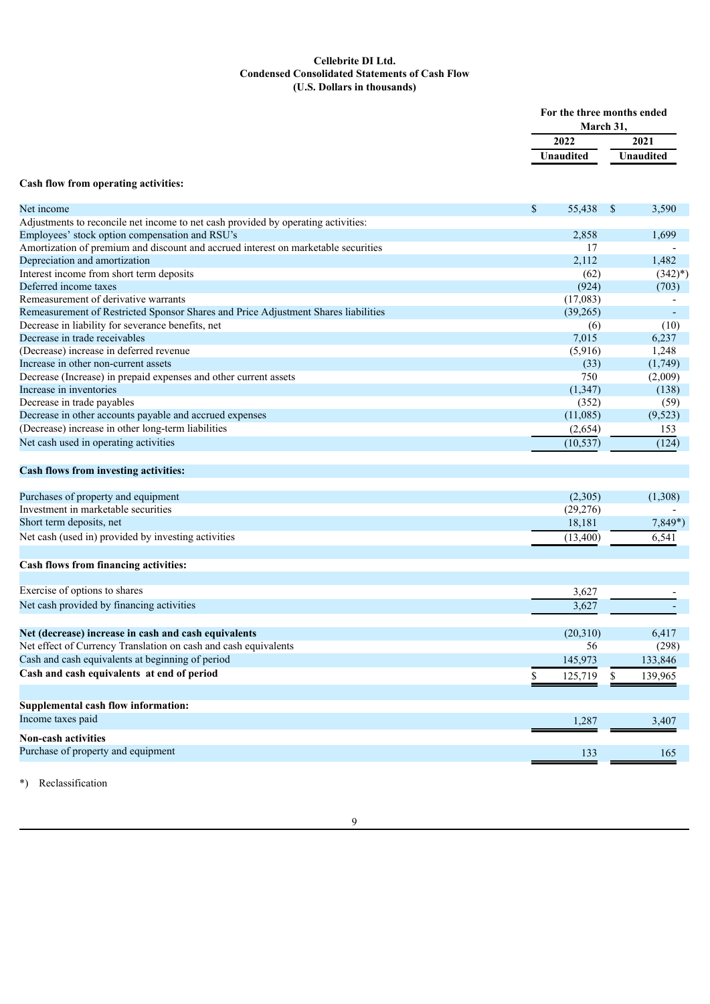### **Cellebrite DI Ltd. Condensed Consolidated Statements of Cash Flow (U.S. Dollars in thousands)**

|                                                                                             |                   | For the three months ended<br>March 31, |                   |  |
|---------------------------------------------------------------------------------------------|-------------------|-----------------------------------------|-------------------|--|
|                                                                                             | 2022              |                                         | 2021<br>Unaudited |  |
|                                                                                             | Unaudited         |                                         |                   |  |
|                                                                                             |                   |                                         |                   |  |
| Cash flow from operating activities:                                                        |                   |                                         |                   |  |
| Net income                                                                                  | \$<br>55,438      | \$                                      | 3,590             |  |
| Adjustments to reconcile net income to net cash provided by operating activities:           |                   |                                         |                   |  |
| Employees' stock option compensation and RSU's                                              | 2,858             |                                         | 1,699             |  |
| Amortization of premium and discount and accrued interest on marketable securities          | 17                |                                         |                   |  |
| Depreciation and amortization                                                               | 2,112             |                                         | 1,482             |  |
| Interest income from short term deposits                                                    | (62)              |                                         | $(342)^{*}$       |  |
| Deferred income taxes                                                                       | (924)             |                                         | (703)             |  |
| Remeasurement of derivative warrants                                                        | (17,083)          |                                         |                   |  |
| Remeasurement of Restricted Sponsor Shares and Price Adjustment Shares liabilities          | (39,265)          |                                         |                   |  |
| Decrease in liability for severance benefits, net                                           | (6)               |                                         | (10)              |  |
| Decrease in trade receivables                                                               | 7,015             |                                         | 6,237             |  |
| (Decrease) increase in deferred revenue                                                     | (5,916)           |                                         | 1,248             |  |
| Increase in other non-current assets                                                        | (33)              |                                         | (1,749)           |  |
| Decrease (Increase) in prepaid expenses and other current assets<br>Increase in inventories | 750               |                                         | (2,009)           |  |
| Decrease in trade payables                                                                  | (1, 347)<br>(352) |                                         | (138)             |  |
| Decrease in other accounts payable and accrued expenses                                     | (11,085)          |                                         | (59)<br>(9,523)   |  |
| (Decrease) increase in other long-term liabilities                                          |                   |                                         |                   |  |
|                                                                                             | (2,654)           |                                         | 153               |  |
| Net cash used in operating activities                                                       | (10, 537)         |                                         | (124)             |  |
| Cash flows from investing activities:                                                       |                   |                                         |                   |  |
| Purchases of property and equipment                                                         | (2,305)           |                                         | (1,308)           |  |
| Investment in marketable securities                                                         | (29, 276)         |                                         |                   |  |
| Short term deposits, net                                                                    | 18,181            |                                         | $7,849*$          |  |
| Net cash (used in) provided by investing activities                                         | (13,400)          |                                         | 6,541             |  |
| Cash flows from financing activities:                                                       |                   |                                         |                   |  |
|                                                                                             |                   |                                         |                   |  |
| Exercise of options to shares                                                               | 3,627             |                                         |                   |  |
| Net cash provided by financing activities                                                   | 3,627             |                                         |                   |  |
| Net (decrease) increase in cash and cash equivalents                                        | (20,310)          |                                         | 6,417             |  |
| Net effect of Currency Translation on cash and cash equivalents                             | 56                |                                         | (298)             |  |
| Cash and cash equivalents at beginning of period                                            | 145,973           |                                         | 133,846           |  |
| Cash and cash equivalents at end of period                                                  |                   | \$                                      | 139,965           |  |
|                                                                                             | 125,719           |                                         |                   |  |
| Supplemental cash flow information:                                                         |                   |                                         |                   |  |
| Income taxes paid                                                                           | 1,287             |                                         | 3,407             |  |
| <b>Non-cash activities</b>                                                                  |                   |                                         |                   |  |
| Purchase of property and equipment                                                          | 133               |                                         | 165               |  |
|                                                                                             |                   |                                         |                   |  |

\*) Reclassification